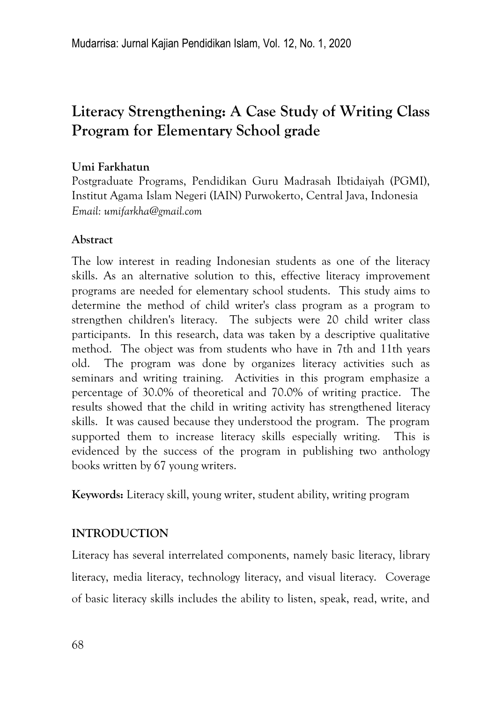# **Literacy Strengthening: A Case Study of Writing Class Program for Elementary School grade**

# **Umi Farkhatun**

Postgraduate Programs, Pendidikan Guru Madrasah Ibtidaiyah (PGMI), Institut Agama Islam Negeri (IAIN) Purwokerto, Central Java, Indonesia *Email: umifarkha@gmail.com*

# **Abstract**

The low interest in reading Indonesian students as one of the literacy skills. As an alternative solution to this, effective literacy improvement programs are needed for elementary school students. This study aims to determine the method of child writer's class program as a program to strengthen children's literacy. The subjects were 20 child writer class participants. In this research, data was taken by a descriptive qualitative method. The object was from students who have in 7th and 11th years old. The program was done by organizes literacy activities such as seminars and writing training. Activities in this program emphasize a percentage of 30.0% of theoretical and 70.0% of writing practice. The results showed that the child in writing activity has strengthened literacy skills. It was caused because they understood the program. The program supported them to increase literacy skills especially writing. This is evidenced by the success of the program in publishing two anthology books written by 67 young writers.

**Keywords:** Literacy skill, young writer, student ability, writing program

# **INTRODUCTION**

Literacy has several interrelated components, namely basic literacy, library literacy, media literacy, technology literacy, and visual literacy. Coverage of basic literacy skills includes the ability to listen, speak, read, write, and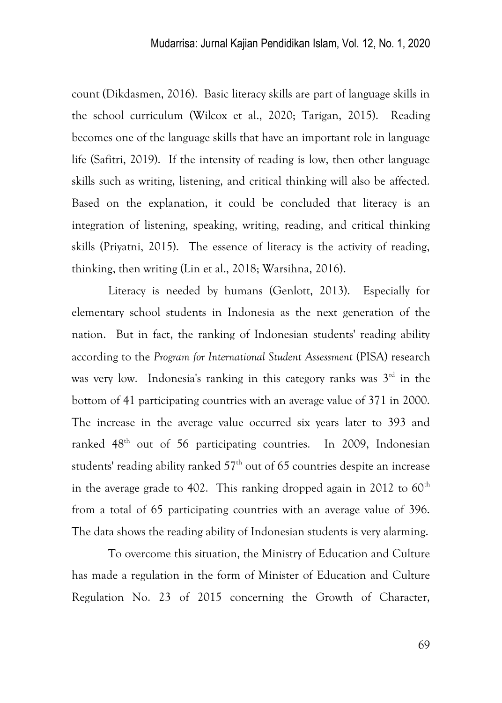count (Dikdasmen, 2016). Basic literacy skills are part of language skills in the school curriculum (Wilcox et al., 2020; Tarigan, 2015). Reading becomes one of the language skills that have an important role in language life (Safitri, 2019). If the intensity of reading is low, then other language skills such as writing, listening, and critical thinking will also be affected. Based on the explanation, it could be concluded that literacy is an integration of listening, speaking, writing, reading, and critical thinking skills (Priyatni, 2015). The essence of literacy is the activity of reading, thinking, then writing (Lin et al., 2018; Warsihna, 2016).

Literacy is needed by humans (Genlott, 2013). Especially for elementary school students in Indonesia as the next generation of the nation. But in fact, the ranking of Indonesian students' reading ability according to the *Program for International Student Assessment* (PISA) research was very low. Indonesia's ranking in this category ranks was  $3<sup>rd</sup>$  in the bottom of 41 participating countries with an average value of 371 in 2000. The increase in the average value occurred six years later to 393 and ranked 48<sup>th</sup> out of 56 participating countries. In 2009, Indonesian students' reading ability ranked  $57<sup>th</sup>$  out of 65 countries despite an increase in the average grade to 402. This ranking dropped again in 2012 to  $60<sup>th</sup>$ from a total of 65 participating countries with an average value of 396. The data shows the reading ability of Indonesian students is very alarming.

To overcome this situation, the Ministry of Education and Culture has made a regulation in the form of Minister of Education and Culture Regulation No. 23 of 2015 concerning the Growth of Character,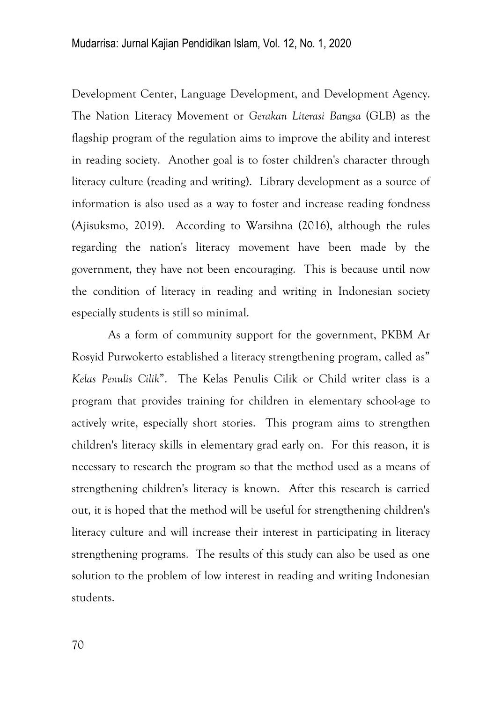Development Center, Language Development, and Development Agency. The Nation Literacy Movement or *Gerakan Literasi Bangsa* (GLB) as the flagship program of the regulation aims to improve the ability and interest in reading society. Another goal is to foster children's character through literacy culture (reading and writing). Library development as a source of information is also used as a way to foster and increase reading fondness (Ajisuksmo, 2019). According to Warsihna (2016), although the rules regarding the nation's literacy movement have been made by the government, they have not been encouraging. This is because until now the condition of literacy in reading and writing in Indonesian society especially students is still so minimal.

As a form of community support for the government, PKBM Ar Rosyid Purwokerto established a literacy strengthening program, called as" *Kelas Penulis Cilik*‖. The Kelas Penulis Cilik or Child writer class is a program that provides training for children in elementary school-age to actively write, especially short stories. This program aims to strengthen children's literacy skills in elementary grad early on. For this reason, it is necessary to research the program so that the method used as a means of strengthening children's literacy is known. After this research is carried out, it is hoped that the method will be useful for strengthening children's literacy culture and will increase their interest in participating in literacy strengthening programs. The results of this study can also be used as one solution to the problem of low interest in reading and writing Indonesian students.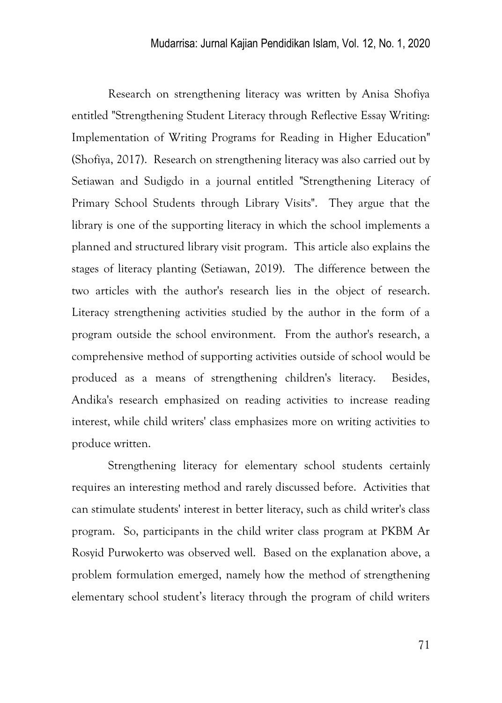Research on strengthening literacy was written by Anisa Shofiya entitled "Strengthening Student Literacy through Reflective Essay Writing: Implementation of Writing Programs for Reading in Higher Education" (Shofiya, 2017). Research on strengthening literacy was also carried out by Setiawan and Sudigdo in a journal entitled "Strengthening Literacy of Primary School Students through Library Visits". They argue that the library is one of the supporting literacy in which the school implements a planned and structured library visit program. This article also explains the stages of literacy planting (Setiawan, 2019). The difference between the two articles with the author's research lies in the object of research. Literacy strengthening activities studied by the author in the form of a program outside the school environment. From the author's research, a comprehensive method of supporting activities outside of school would be produced as a means of strengthening children's literacy. Besides, Andika's research emphasized on reading activities to increase reading interest, while child writers' class emphasizes more on writing activities to produce written.

Strengthening literacy for elementary school students certainly requires an interesting method and rarely discussed before. Activities that can stimulate students' interest in better literacy, such as child writer's class program. So, participants in the child writer class program at PKBM Ar Rosyid Purwokerto was observed well. Based on the explanation above, a problem formulation emerged, namely how the method of strengthening elementary school student's literacy through the program of child writers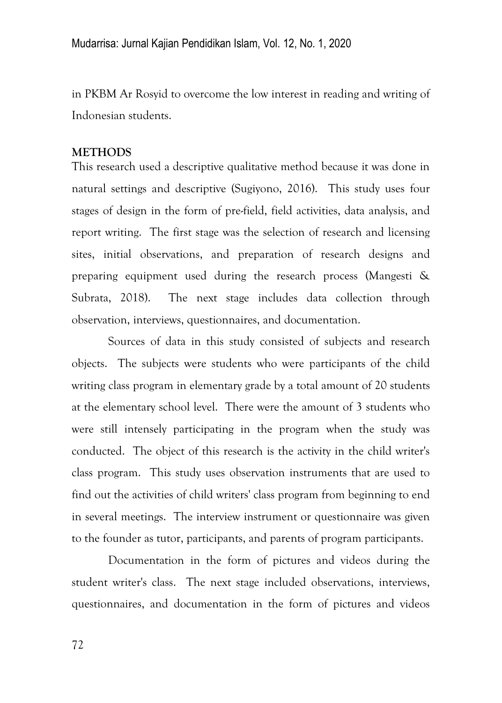in PKBM Ar Rosyid to overcome the low interest in reading and writing of Indonesian students.

### **METHODS**

This research used a descriptive qualitative method because it was done in natural settings and descriptive (Sugiyono, 2016). This study uses four stages of design in the form of pre-field, field activities, data analysis, and report writing. The first stage was the selection of research and licensing sites, initial observations, and preparation of research designs and preparing equipment used during the research process (Mangesti & Subrata, 2018). The next stage includes data collection through observation, interviews, questionnaires, and documentation.

Sources of data in this study consisted of subjects and research objects. The subjects were students who were participants of the child writing class program in elementary grade by a total amount of 20 students at the elementary school level. There were the amount of 3 students who were still intensely participating in the program when the study was conducted. The object of this research is the activity in the child writer's class program. This study uses observation instruments that are used to find out the activities of child writers' class program from beginning to end in several meetings. The interview instrument or questionnaire was given to the founder as tutor, participants, and parents of program participants.

Documentation in the form of pictures and videos during the student writer's class. The next stage included observations, interviews, questionnaires, and documentation in the form of pictures and videos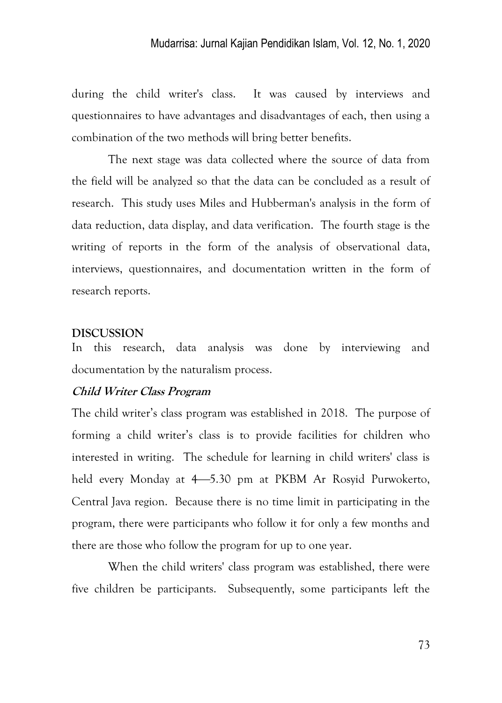during the child writer's class. It was caused by interviews and questionnaires to have advantages and disadvantages of each, then using a combination of the two methods will bring better benefits.

The next stage was data collected where the source of data from the field will be analyzed so that the data can be concluded as a result of research. This study uses Miles and Hubberman's analysis in the form of data reduction, data display, and data verification. The fourth stage is the writing of reports in the form of the analysis of observational data, interviews, questionnaires, and documentation written in the form of research reports.

### **DISCUSSION**

In this research, data analysis was done by interviewing and documentation by the naturalism process.

### **Child Writer Class Program**

The child writer's class program was established in 2018. The purpose of forming a child writer's class is to provide facilities for children who interested in writing. The schedule for learning in child writers' class is held every Monday at 4–5.30 pm at PKBM Ar Rosyid Purwokerto, Central Java region. Because there is no time limit in participating in the program, there were participants who follow it for only a few months and there are those who follow the program for up to one year.

When the child writers' class program was established, there were five children be participants. Subsequently, some participants left the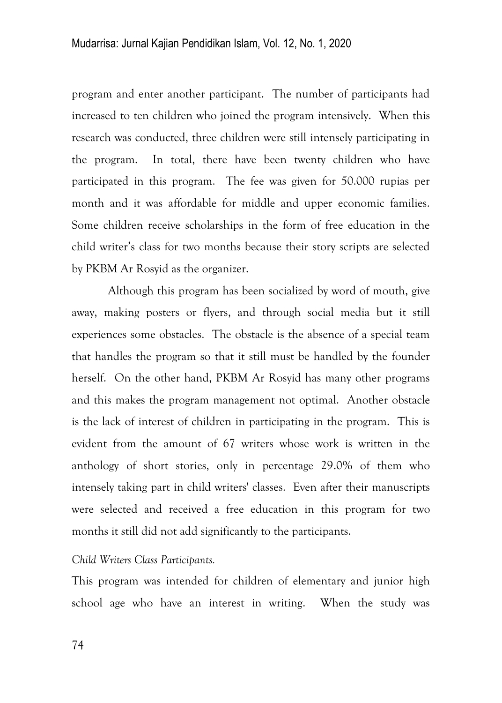program and enter another participant. The number of participants had increased to ten children who joined the program intensively. When this research was conducted, three children were still intensely participating in the program. In total, there have been twenty children who have participated in this program. The fee was given for 50.000 rupias per month and it was affordable for middle and upper economic families. Some children receive scholarships in the form of free education in the child writer's class for two months because their story scripts are selected by PKBM Ar Rosyid as the organizer.

Although this program has been socialized by word of mouth, give away, making posters or flyers, and through social media but it still experiences some obstacles. The obstacle is the absence of a special team that handles the program so that it still must be handled by the founder herself. On the other hand, PKBM Ar Rosyid has many other programs and this makes the program management not optimal. Another obstacle is the lack of interest of children in participating in the program. This is evident from the amount of 67 writers whose work is written in the anthology of short stories, only in percentage 29.0% of them who intensely taking part in child writers' classes. Even after their manuscripts were selected and received a free education in this program for two months it still did not add significantly to the participants.

#### *Child Writers Class Participants.*

This program was intended for children of elementary and junior high school age who have an interest in writing. When the study was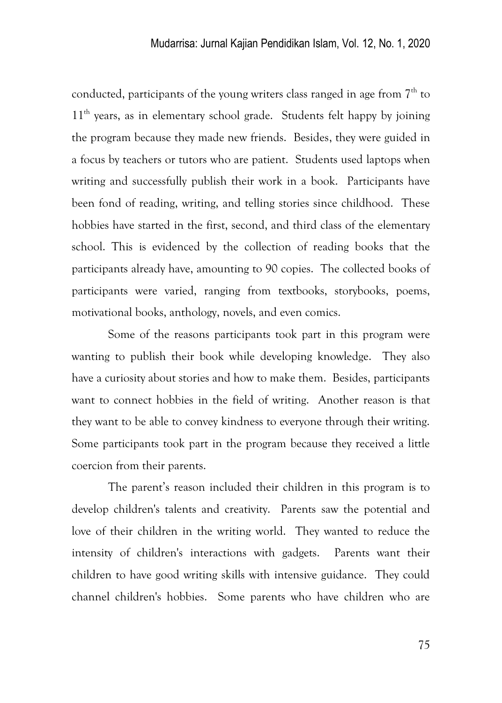conducted, participants of the young writers class ranged in age from  $7<sup>th</sup>$  to 11<sup>th</sup> years, as in elementary school grade. Students felt happy by joining the program because they made new friends. Besides, they were guided in a focus by teachers or tutors who are patient. Students used laptops when writing and successfully publish their work in a book. Participants have been fond of reading, writing, and telling stories since childhood. These hobbies have started in the first, second, and third class of the elementary school. This is evidenced by the collection of reading books that the participants already have, amounting to 90 copies. The collected books of participants were varied, ranging from textbooks, storybooks, poems, motivational books, anthology, novels, and even comics.

Some of the reasons participants took part in this program were wanting to publish their book while developing knowledge. They also have a curiosity about stories and how to make them. Besides, participants want to connect hobbies in the field of writing. Another reason is that they want to be able to convey kindness to everyone through their writing. Some participants took part in the program because they received a little coercion from their parents.

The parent's reason included their children in this program is to develop children's talents and creativity. Parents saw the potential and love of their children in the writing world. They wanted to reduce the intensity of children's interactions with gadgets. Parents want their children to have good writing skills with intensive guidance. They could channel children's hobbies. Some parents who have children who are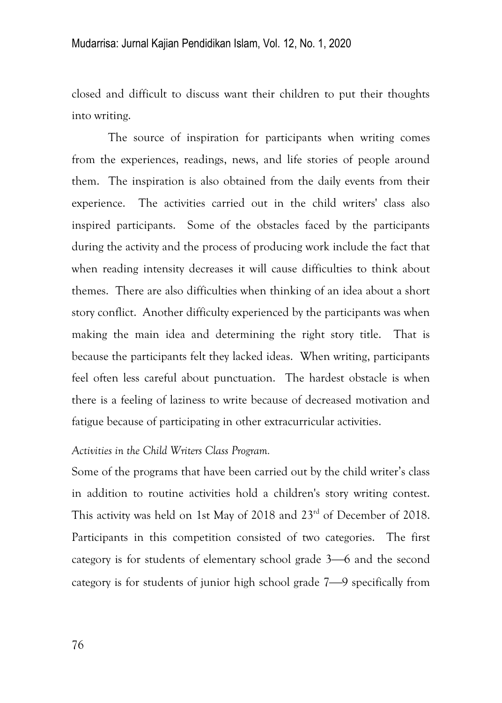closed and difficult to discuss want their children to put their thoughts into writing.

The source of inspiration for participants when writing comes from the experiences, readings, news, and life stories of people around them. The inspiration is also obtained from the daily events from their experience. The activities carried out in the child writers' class also inspired participants. Some of the obstacles faced by the participants during the activity and the process of producing work include the fact that when reading intensity decreases it will cause difficulties to think about themes. There are also difficulties when thinking of an idea about a short story conflict. Another difficulty experienced by the participants was when making the main idea and determining the right story title. That is because the participants felt they lacked ideas. When writing, participants feel often less careful about punctuation. The hardest obstacle is when there is a feeling of laziness to write because of decreased motivation and fatigue because of participating in other extracurricular activities.

#### *Activities in the Child Writers Class Program.*

Some of the programs that have been carried out by the child writer's class in addition to routine activities hold a children's story writing contest. This activity was held on 1st May of 2018 and 23rd of December of 2018. Participants in this competition consisted of two categories. The first category is for students of elementary school grade  $3-6$  and the second category is for students of junior high school grade  $7-9$  specifically from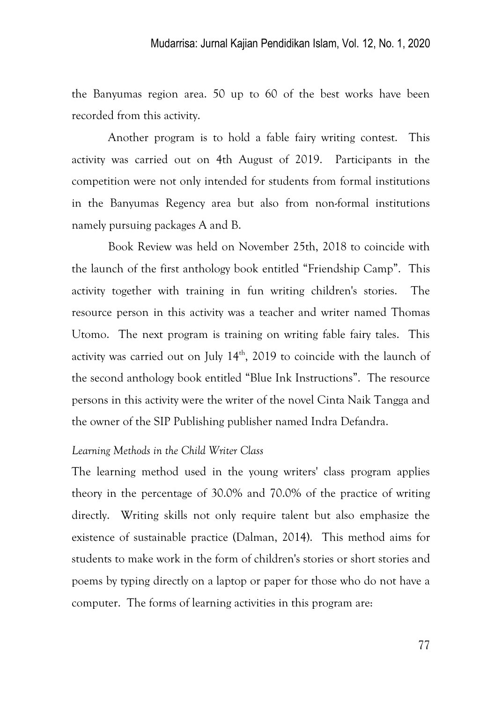the Banyumas region area. 50 up to 60 of the best works have been recorded from this activity.

Another program is to hold a fable fairy writing contest. This activity was carried out on 4th August of 2019. Participants in the competition were not only intended for students from formal institutions in the Banyumas Regency area but also from non-formal institutions namely pursuing packages A and B.

Book Review was held on November 25th, 2018 to coincide with the launch of the first anthology book entitled "Friendship Camp". This activity together with training in fun writing children's stories. The resource person in this activity was a teacher and writer named Thomas Utomo. The next program is training on writing fable fairy tales. This activity was carried out on July  $14<sup>th</sup>$ , 2019 to coincide with the launch of the second anthology book entitled "Blue Ink Instructions". The resource persons in this activity were the writer of the novel Cinta Naik Tangga and the owner of the SIP Publishing publisher named Indra Defandra.

#### *Learning Methods in the Child Writer Class*

The learning method used in the young writers' class program applies theory in the percentage of 30.0% and 70.0% of the practice of writing directly. Writing skills not only require talent but also emphasize the existence of sustainable practice (Dalman, 2014). This method aims for students to make work in the form of children's stories or short stories and poems by typing directly on a laptop or paper for those who do not have a computer. The forms of learning activities in this program are: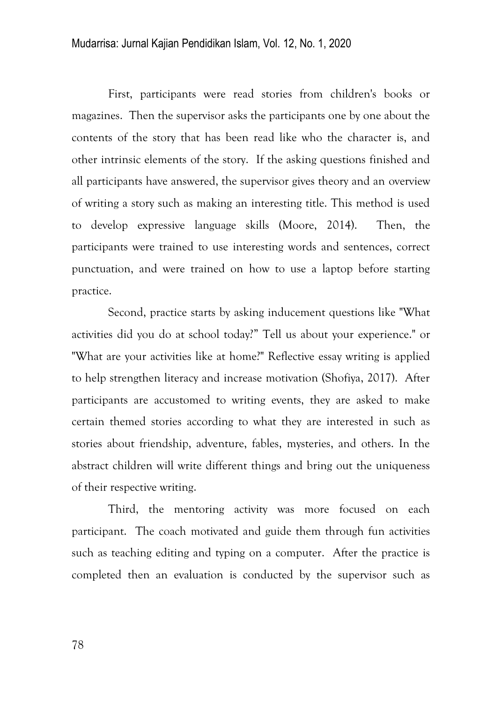### Mudarrisa: Jurnal Kajian Pendidikan Islam, Vol. 12, No. 1, 2020

First, participants were read stories from children's books or magazines. Then the supervisor asks the participants one by one about the contents of the story that has been read like who the character is, and other intrinsic elements of the story. If the asking questions finished and all participants have answered, the supervisor gives theory and an overview of writing a story such as making an interesting title. This method is used to develop expressive language skills (Moore, 2014). Then, the participants were trained to use interesting words and sentences, correct punctuation, and were trained on how to use a laptop before starting practice.

Second, practice starts by asking inducement questions like "What activities did you do at school today?‖ Tell us about your experience." or "What are your activities like at home?" Reflective essay writing is applied to help strengthen literacy and increase motivation (Shofiya, 2017). After participants are accustomed to writing events, they are asked to make certain themed stories according to what they are interested in such as stories about friendship, adventure, fables, mysteries, and others. In the abstract children will write different things and bring out the uniqueness of their respective writing.

Third, the mentoring activity was more focused on each participant. The coach motivated and guide them through fun activities such as teaching editing and typing on a computer. After the practice is completed then an evaluation is conducted by the supervisor such as

78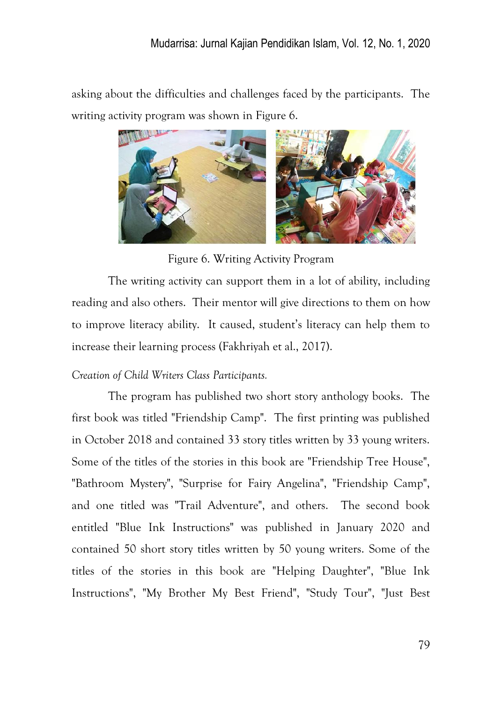asking about the difficulties and challenges faced by the participants. The writing activity program was shown in Figure 6.



Figure 6. Writing Activity Program

The writing activity can support them in a lot of ability, including reading and also others. Their mentor will give directions to them on how to improve literacy ability. It caused, student's literacy can help them to increase their learning process (Fakhriyah et al., 2017).

# *Creation of Child Writers Class Participants.*

The program has published two short story anthology books. The first book was titled "Friendship Camp". The first printing was published in October 2018 and contained 33 story titles written by 33 young writers. Some of the titles of the stories in this book are "Friendship Tree House", "Bathroom Mystery", "Surprise for Fairy Angelina", "Friendship Camp", and one titled was "Trail Adventure", and others. The second book entitled "Blue Ink Instructions" was published in January 2020 and contained 50 short story titles written by 50 young writers. Some of the titles of the stories in this book are "Helping Daughter", "Blue Ink Instructions", "My Brother My Best Friend", "Study Tour", "Just Best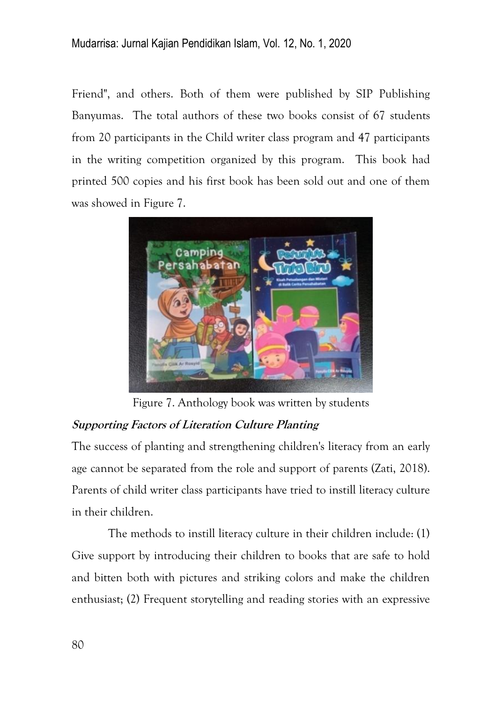Friend", and others. Both of them were published by SIP Publishing Banyumas. The total authors of these two books consist of 67 students from 20 participants in the Child writer class program and 47 participants in the writing competition organized by this program. This book had printed 500 copies and his first book has been sold out and one of them was showed in Figure 7.



Figure 7. Anthology book was written by students

# **Supporting Factors of Literation Culture Planting**

The success of planting and strengthening children's literacy from an early age cannot be separated from the role and support of parents (Zati, 2018). Parents of child writer class participants have tried to instill literacy culture in their children.

The methods to instill literacy culture in their children include: (1) Give support by introducing their children to books that are safe to hold and bitten both with pictures and striking colors and make the children enthusiast; (2) Frequent storytelling and reading stories with an expressive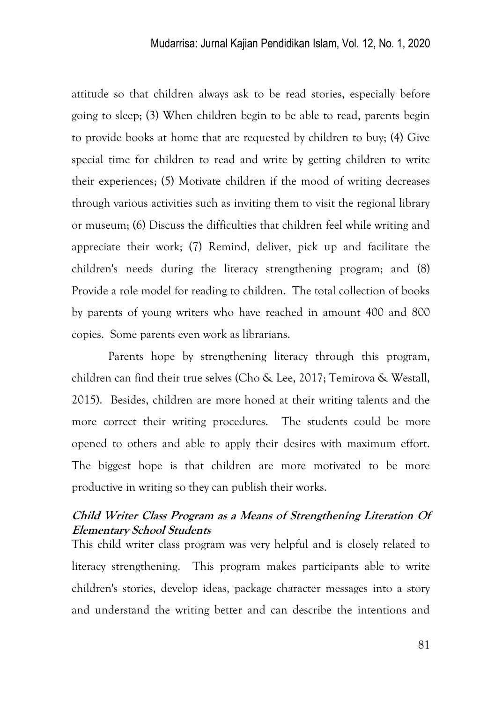attitude so that children always ask to be read stories, especially before going to sleep; (3) When children begin to be able to read, parents begin to provide books at home that are requested by children to buy; (4) Give special time for children to read and write by getting children to write their experiences; (5) Motivate children if the mood of writing decreases through various activities such as inviting them to visit the regional library or museum; (6) Discuss the difficulties that children feel while writing and appreciate their work; (7) Remind, deliver, pick up and facilitate the children's needs during the literacy strengthening program; and (8) Provide a role model for reading to children. The total collection of books by parents of young writers who have reached in amount 400 and 800 copies. Some parents even work as librarians.

Parents hope by strengthening literacy through this program, children can find their true selves (Cho & Lee, 2017; Temirova & Westall, 2015). Besides, children are more honed at their writing talents and the more correct their writing procedures. The students could be more opened to others and able to apply their desires with maximum effort. The biggest hope is that children are more motivated to be more productive in writing so they can publish their works.

## **Child Writer Class Program as a Means of Strengthening Literation Of Elementary School Students**

This child writer class program was very helpful and is closely related to literacy strengthening. This program makes participants able to write children's stories, develop ideas, package character messages into a story and understand the writing better and can describe the intentions and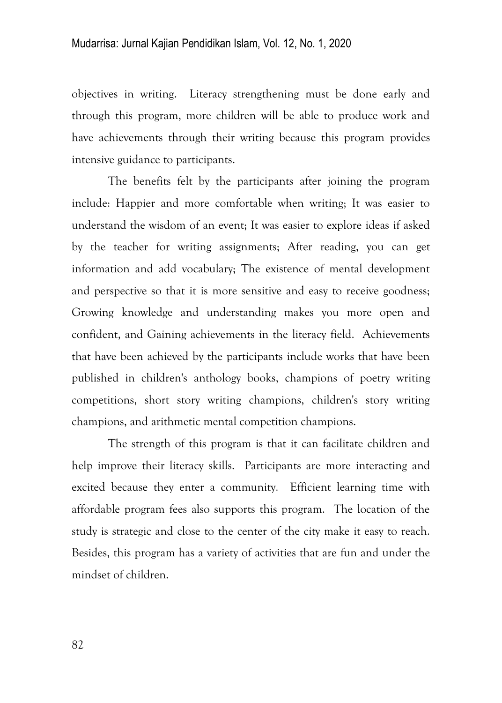objectives in writing. Literacy strengthening must be done early and through this program, more children will be able to produce work and have achievements through their writing because this program provides intensive guidance to participants.

The benefits felt by the participants after joining the program include: Happier and more comfortable when writing; It was easier to understand the wisdom of an event; It was easier to explore ideas if asked by the teacher for writing assignments; After reading, you can get information and add vocabulary; The existence of mental development and perspective so that it is more sensitive and easy to receive goodness; Growing knowledge and understanding makes you more open and confident, and Gaining achievements in the literacy field. Achievements that have been achieved by the participants include works that have been published in children's anthology books, champions of poetry writing competitions, short story writing champions, children's story writing champions, and arithmetic mental competition champions.

The strength of this program is that it can facilitate children and help improve their literacy skills. Participants are more interacting and excited because they enter a community. Efficient learning time with affordable program fees also supports this program. The location of the study is strategic and close to the center of the city make it easy to reach. Besides, this program has a variety of activities that are fun and under the mindset of children.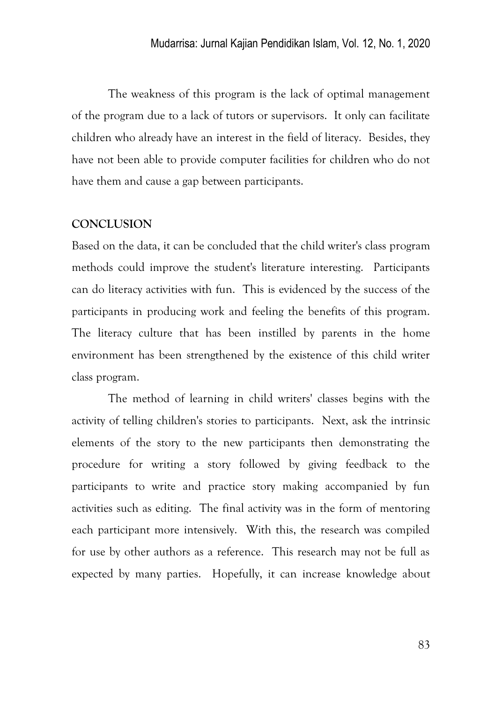The weakness of this program is the lack of optimal management of the program due to a lack of tutors or supervisors. It only can facilitate children who already have an interest in the field of literacy. Besides, they have not been able to provide computer facilities for children who do not have them and cause a gap between participants.

### **CONCLUSION**

Based on the data, it can be concluded that the child writer's class program methods could improve the student's literature interesting. Participants can do literacy activities with fun. This is evidenced by the success of the participants in producing work and feeling the benefits of this program. The literacy culture that has been instilled by parents in the home environment has been strengthened by the existence of this child writer class program.

The method of learning in child writers' classes begins with the activity of telling children's stories to participants. Next, ask the intrinsic elements of the story to the new participants then demonstrating the procedure for writing a story followed by giving feedback to the participants to write and practice story making accompanied by fun activities such as editing. The final activity was in the form of mentoring each participant more intensively. With this, the research was compiled for use by other authors as a reference. This research may not be full as expected by many parties. Hopefully, it can increase knowledge about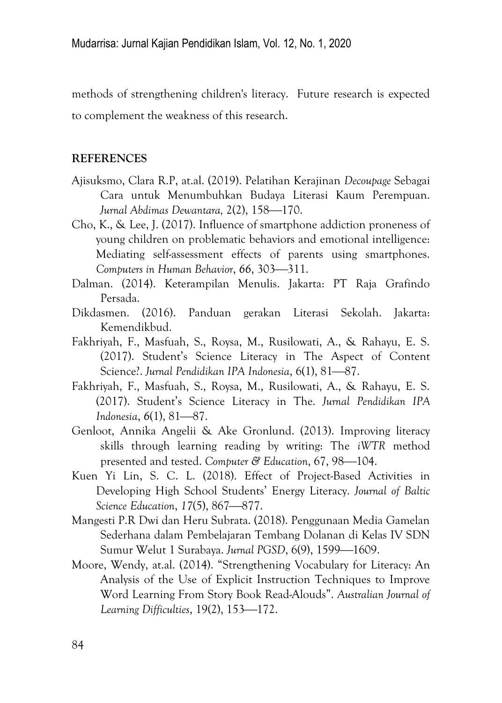methods of strengthening children's literacy. Future research is expected to complement the weakness of this research.

### **REFERENCES**

- Ajisuksmo, Clara R.P, at.al. (2019). Pelatihan Kerajinan *Decoupage* Sebagai Cara untuk Menumbuhkan Budaya Literasi Kaum Perempuan. *Jurnal Abdimas Dewantara, 2(2), 158*—170.
- Cho, K., & Lee, J. (2017). Influence of smartphone addiction proneness of young children on problematic behaviors and emotional intelligence: Mediating self-assessment effects of parents using smartphones. *Computers in Human Behavior, 66, 303*—311.
- Dalman. (2014). Keterampilan Menulis. Jakarta: PT Raja Grafindo Persada.
- Dikdasmen. (2016). Panduan gerakan Literasi Sekolah. Jakarta: Kemendikbud.
- Fakhriyah, F., Masfuah, S., Roysa, M., Rusilowati, A., & Rahayu, E. S. (2017). Student's Science Literacy in The Aspect of Content Science?. *Jurnal Pendidikan IPA Indonesia*, 6(1), 81—87.
- Fakhriyah, F., Masfuah, S., Roysa, M., Rusilowati, A., & Rahayu, E. S. (2017). Student's Science Literacy in The. *Jurnal Pendidikan IPA Indonesia,* 6(1), 81-87.
- Genloot, Annika Angelii & Ake Gronlund. (2013). Improving literacy skills through learning reading by writing: The *iWTR* method presented and tested. Computer & Education, 67, 98-104.
- Kuen Yi Lin, S. C. L. (2018). Effect of Project-Based Activities in Developing High School Students' Energy Literacy. *Journal of Baltic Science Education, 17(5), 867—877.*
- Mangesti P.R Dwi dan Heru Subrata. (2018). Penggunaan Media Gamelan Sederhana dalam Pembelajaran Tembang Dolanan di Kelas IV SDN Sumur Welut 1 Surabaya. *Jurnal PGSD*, 6(9), 1599—1609.
- Moore, Wendy, at.al. (2014). "Strengthening Vocabulary for Literacy: An Analysis of the Use of Explicit Instruction Techniques to Improve Word Learning From Story Book Read-Alouds‖. *Australian Journal of Learning Difficulties*, 19(2), 153-172.